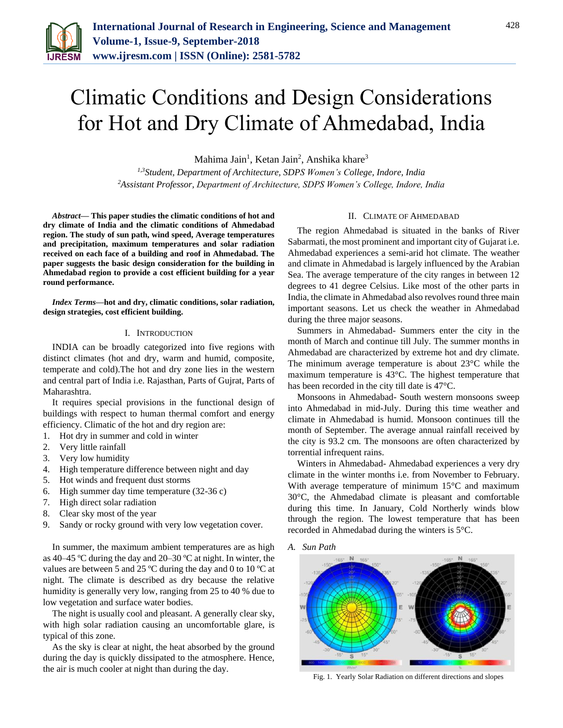

# Climatic Conditions and Design Considerations for Hot and Dry Climate of Ahmedabad, India

Mahima Jain<sup>1</sup>, Ketan Jain<sup>2</sup>, Anshika khare<sup>3</sup>

*1,3Student, Department of Architecture, SDPS Women's College, Indore, India 2Assistant Professor, Department of Architecture, SDPS Women's College, Indore, India*

*Abstract***— This paper studies the climatic conditions of hot and dry climate of India and the climatic conditions of Ahmedabad region. The study of sun path, wind speed, Average temperatures and precipitation, maximum temperatures and solar radiation received on each face of a building and roof in Ahmedabad. The paper suggests the basic design consideration for the building in Ahmedabad region to provide a cost efficient building for a year round performance.**

*Index Terms***—hot and dry, climatic conditions, solar radiation, design strategies, cost efficient building.**

#### I. INTRODUCTION

INDIA can be broadly categorized into five regions with distinct climates (hot and dry, warm and humid, composite, temperate and cold).The hot and dry zone lies in the western and central part of India i.e. Rajasthan, Parts of Gujrat, Parts of Maharashtra.

It requires special provisions in the functional design of buildings with respect to human thermal comfort and energy efficiency. Climatic of the hot and dry region are:

- 1. Hot dry in summer and cold in winter
- 2. Very little rainfall
- 3. Very low humidity
- 4. High temperature difference between night and day
- 5. Hot winds and frequent dust storms
- 6. High summer day time temperature (32-36 c)
- 7. High direct solar radiation
- 8. Clear sky most of the year
- 9. Sandy or rocky ground with very low vegetation cover.

In summer, the maximum ambient temperatures are as high as 40–45 ºC during the day and 20–30 ºC at night. In winter, the values are between 5 and 25 ºC during the day and 0 to 10 ºC at night. The climate is described as dry because the relative humidity is generally very low, ranging from 25 to 40 % due to low vegetation and surface water bodies.

The night is usually cool and pleasant. A generally clear sky, with high solar radiation causing an uncomfortable glare, is typical of this zone.

As the sky is clear at night, the heat absorbed by the ground during the day is quickly dissipated to the atmosphere. Hence, the air is much cooler at night than during the day.

#### II. CLIMATE OF AHMEDABAD

The region Ahmedabad is situated in the banks of River Sabarmati, the most prominent and important city of Gujarat i.e. Ahmedabad experiences a semi-arid hot climate. The weather and climate in Ahmedabad is largely influenced by the Arabian Sea. The average temperature of the city ranges in between 12 degrees to 41 degree Celsius. Like most of the other parts in India, the climate in Ahmedabad also revolves round three main important seasons. Let us check the weather in Ahmedabad during the three major seasons.

Summers in Ahmedabad- Summers enter the city in the month of March and continue till July. The summer months in Ahmedabad are characterized by extreme hot and dry climate. The minimum average temperature is about 23°C while the maximum temperature is 43°C. The highest temperature that has been recorded in the city till date is 47°C.

Monsoons in Ahmedabad- South western monsoons sweep into Ahmedabad in mid-July. During this time weather and climate in Ahmedabad is humid. Monsoon continues till the month of September. The average annual rainfall received by the city is 93.2 cm. The monsoons are often characterized by torrential infrequent rains.

Winters in Ahmedabad- Ahmedabad experiences a very dry climate in the winter months i.e. from November to February. With average temperature of minimum 15°C and maximum 30°C, the Ahmedabad climate is pleasant and comfortable during this time. In January, Cold Northerly winds blow through the region. The lowest temperature that has been recorded in Ahmedabad during the winters is 5°C.

*A. Sun Path*



Fig. 1. Yearly Solar Radiation on different directions and slopes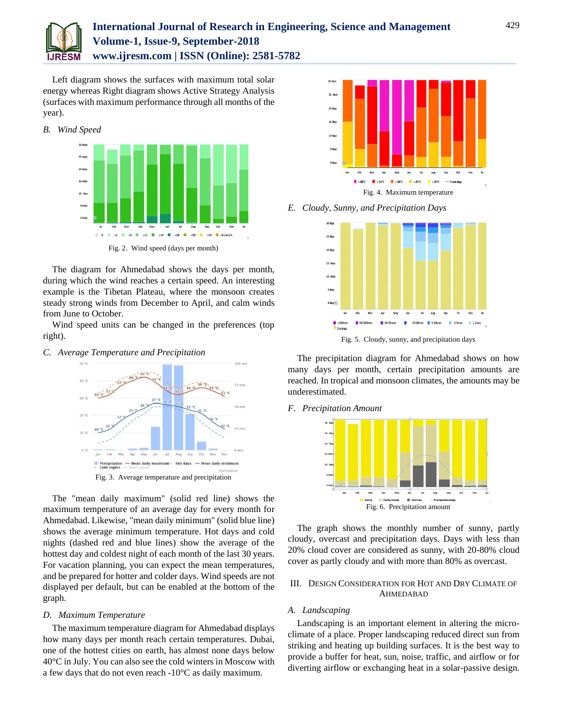

# **International Journal of Research in Engineering, Science and Management Volume-1, Issue-9, September-2018 www.ijresm.com | ISSN (Online): 2581-5782**

Left diagram shows the surfaces with maximum total solar energy whereas Right diagram shows Active Strategy Analysis (surfaces with maximum performance through all months of the year).



The diagram for Ahmedabad shows the days per month, during which the wind reaches a certain speed. An interesting example is the Tibetan Plateau, where the monsoon creates steady strong winds from December to April, and calm winds from June to October.

Wind speed units can be changed in the preferences (top right).

*C. Average Temperature and Precipitation*



Fig. 3. Average temperature and precipitation

The "mean daily maximum" (solid red line) shows the maximum temperature of an average day for every month for Ahmedabad. Likewise, "mean daily minimum" (solid blue line) shows the average minimum temperature. Hot days and cold nights (dashed red and blue lines) show the average of the hottest day and coldest night of each month of the last 30 years. For vacation planning, you can expect the mean temperatures, and be prepared for hotter and colder days. Wind speeds are not displayed per default, but can be enabled at the bottom of the graph.

#### *D. Maximum Temperature*

The maximum temperature diagram for Ahmedabad displays how many days per month reach certain temperatures. Dubai, one of the hottest cities on earth, has almost none days below 40°C in July. You can also see the cold winters in Moscow with a few days that do not even reach -10°C as daily maximum.



*E. Cloudy, Sunny, and Precipitation Days*



The precipitation diagram for Ahmedabad shows on how many days per month, certain precipitation amounts are reached. In tropical and monsoon climates, the amounts may be underestimated.

#### *F. Precipitation Amount*



The graph shows the monthly number of sunny, partly cloudy, overcast and precipitation days. Days with less than 20% cloud cover are considered as sunny, with 20-80% cloud cover as partly cloudy and with more than 80% as overcast.

## III. DESIGN CONSIDERATION FOR HOT AND DRY CLIMATE OF AHMEDABAD

## *A. Landscaping*

Landscaping is an important element in altering the microclimate of a place. Proper landscaping reduced direct sun from striking and heating up building surfaces. It is the best way to provide a buffer for heat, sun, noise, traffic, and airflow or for diverting airflow or exchanging heat in a solar-passive design.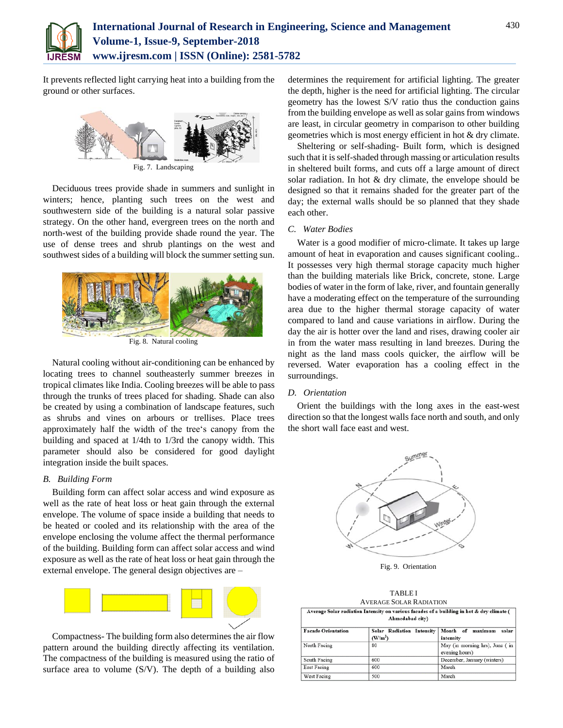

It prevents reflected light carrying heat into a building from the ground or other surfaces.



Fig. 7. Landscaping

Deciduous trees provide shade in summers and sunlight in winters; hence, planting such trees on the west and southwestern side of the building is a natural solar passive strategy. On the other hand, evergreen trees on the north and north-west of the building provide shade round the year. The use of dense trees and shrub plantings on the west and southwest sides of a building will block the summer setting sun.



Fig. 8. Natural cooling

Natural cooling without air-conditioning can be enhanced by locating trees to channel southeasterly summer breezes in tropical climates like India. Cooling breezes will be able to pass through the trunks of trees placed for shading. Shade can also be created by using a combination of landscape features, such as shrubs and vines on arbours or trellises. Place trees approximately half the width of the tree's canopy from the building and spaced at 1/4th to 1/3rd the canopy width. This parameter should also be considered for good daylight integration inside the built spaces.

#### *B. Building Form*

Building form can affect solar access and wind exposure as well as the rate of heat loss or heat gain through the external envelope. The volume of space inside a building that needs to be heated or cooled and its relationship with the area of the envelope enclosing the volume affect the thermal performance of the building. Building form can affect solar access and wind exposure as well as the rate of heat loss or heat gain through the external envelope. The general design objectives are –



Compactness- The building form also determines the air flow pattern around the building directly affecting its ventilation. The compactness of the building is measured using the ratio of surface area to volume (S/V). The depth of a building also

determines the requirement for artificial lighting. The greater the depth, higher is the need for artificial lighting. The circular geometry has the lowest S/V ratio thus the conduction gains from the building envelope as well as solar gains from windows are least, in circular geometry in comparison to other building geometries which is most energy efficient in hot & dry climate.

Sheltering or self-shading- Built form, which is designed such that it is self-shaded through massing or articulation results in sheltered built forms, and cuts off a large amount of direct solar radiation. In hot & dry climate, the envelope should be designed so that it remains shaded for the greater part of the day; the external walls should be so planned that they shade each other.

#### *C. Water Bodies*

Water is a good modifier of micro-climate. It takes up large amount of heat in evaporation and causes significant cooling.. It possesses very high thermal storage capacity much higher than the building materials like Brick, concrete, stone. Large bodies of water in the form of lake, river, and fountain generally have a moderating effect on the temperature of the surrounding area due to the higher thermal storage capacity of water compared to land and cause variations in airflow. During the day the air is hotter over the land and rises, drawing cooler air in from the water mass resulting in land breezes. During the night as the land mass cools quicker, the airflow will be reversed. Water evaporation has a cooling effect in the surroundings.

#### *D. Orientation*

Orient the buildings with the long axes in the east-west direction so that the longest walls face north and south, and only the short wall face east and west.



Fig. 9. Orientation

TABLE I AVERAGE SOLAR RADIATION

| Average Solar radiation Intensity on various facades of a building in hot & dry climate (<br>Ahmedabad city) |                                                                     |                                |  |
|--------------------------------------------------------------------------------------------------------------|---------------------------------------------------------------------|--------------------------------|--|
| <b>Facade Orientation</b>                                                                                    | Solar Radiation Intensity   Month of maximum<br>(W/m <sup>2</sup> ) | solar<br>intensity             |  |
| North Facino                                                                                                 | 80                                                                  | May (in morning hrs). June (in |  |

| North Facing | 80  | May (in morning hrs), June (in |
|--------------|-----|--------------------------------|
|              |     | evening hours)                 |
| South Facing | 600 | December, January (winters)    |
| East Facing  | 600 | March                          |
| West Facing  | 500 | March                          |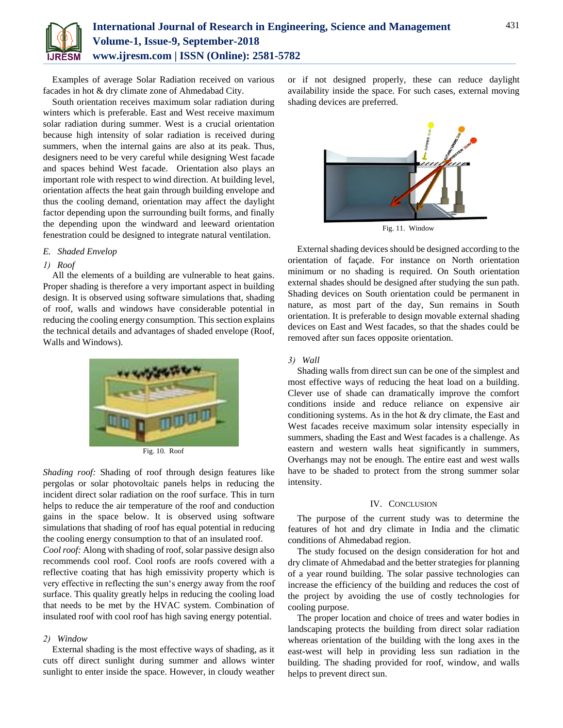

Examples of average Solar Radiation received on various facades in hot & dry climate zone of Ahmedabad City.

South orientation receives maximum solar radiation during winters which is preferable. East and West receive maximum solar radiation during summer. West is a crucial orientation because high intensity of solar radiation is received during summers, when the internal gains are also at its peak. Thus, designers need to be very careful while designing West facade and spaces behind West facade. Orientation also plays an important role with respect to wind direction. At building level, orientation affects the heat gain through building envelope and thus the cooling demand, orientation may affect the daylight factor depending upon the surrounding built forms, and finally the depending upon the windward and leeward orientation fenestration could be designed to integrate natural ventilation.

#### *E. Shaded Envelop*

#### *1) Roof*

All the elements of a building are vulnerable to heat gains. Proper shading is therefore a very important aspect in building design. It is observed using software simulations that, shading of roof, walls and windows have considerable potential in reducing the cooling energy consumption. This section explains the technical details and advantages of shaded envelope (Roof, Walls and Windows).



Fig. 10. Roof

*Shading roof:* Shading of roof through design features like pergolas or solar photovoltaic panels helps in reducing the incident direct solar radiation on the roof surface. This in turn helps to reduce the air temperature of the roof and conduction gains in the space below. It is observed using software simulations that shading of roof has equal potential in reducing the cooling energy consumption to that of an insulated roof.

*Cool roof:* Along with shading of roof, solar passive design also recommends cool roof. Cool roofs are roofs covered with a reflective coating that has high emissivity property which is very effective in reflecting the sun's energy away from the roof surface. This quality greatly helps in reducing the cooling load that needs to be met by the HVAC system. Combination of insulated roof with cool roof has high saving energy potential.

#### *2) Window*

External shading is the most effective ways of shading, as it cuts off direct sunlight during summer and allows winter sunlight to enter inside the space. However, in cloudy weather

or if not designed properly, these can reduce daylight availability inside the space. For such cases, external moving shading devices are preferred.



Fig. 11. Window

External shading devices should be designed according to the orientation of façade. For instance on North orientation minimum or no shading is required. On South orientation external shades should be designed after studying the sun path. Shading devices on South orientation could be permanent in nature, as most part of the day, Sun remains in South orientation. It is preferable to design movable external shading devices on East and West facades, so that the shades could be removed after sun faces opposite orientation.

#### *3) Wall*

Shading walls from direct sun can be one of the simplest and most effective ways of reducing the heat load on a building. Clever use of shade can dramatically improve the comfort conditions inside and reduce reliance on expensive air conditioning systems. As in the hot & dry climate, the East and West facades receive maximum solar intensity especially in summers, shading the East and West facades is a challenge. As eastern and western walls heat significantly in summers, Overhangs may not be enough. The entire east and west walls have to be shaded to protect from the strong summer solar intensity.

#### IV. CONCLUSION

The purpose of the current study was to determine the features of hot and dry climate in India and the climatic conditions of Ahmedabad region.

The study focused on the design consideration for hot and dry climate of Ahmedabad and the better strategies for planning of a year round building. The solar passive technologies can increase the efficiency of the building and reduces the cost of the project by avoiding the use of costly technologies for cooling purpose.

The proper location and choice of trees and water bodies in landscaping protects the building from direct solar radiation whereas orientation of the building with the long axes in the east-west will help in providing less sun radiation in the building. The shading provided for roof, window, and walls helps to prevent direct sun.